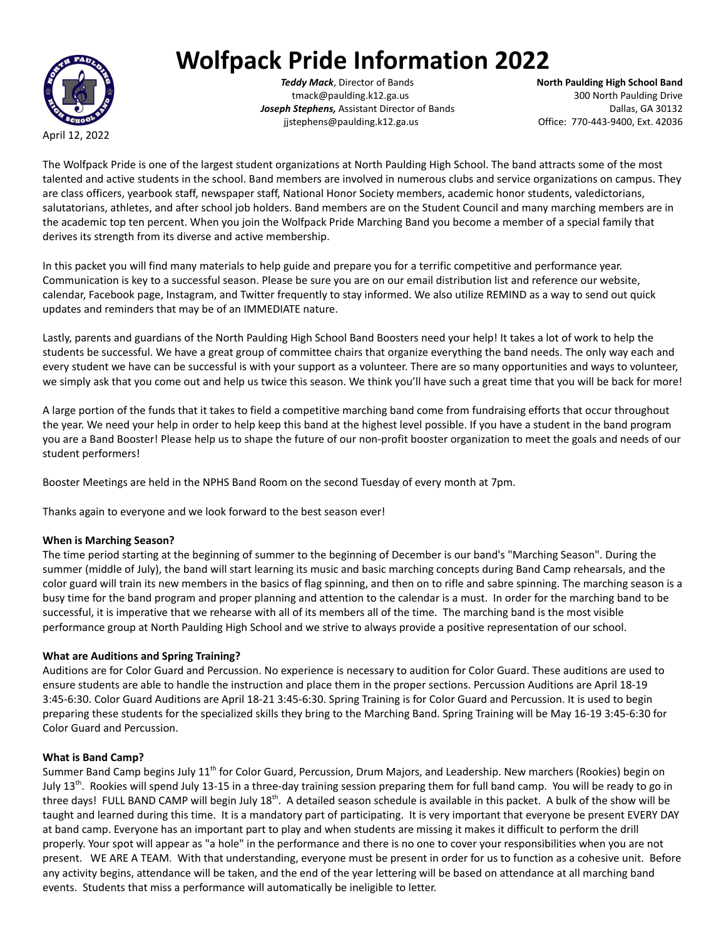April 12, 2022

# **Wolfpack Pride Information 2022**

*Teddy Mack*, Director of Bands **North Paulding High School Band** tmack@paulding.k12.ga.us 300 North Paulding Drive **Joseph Stephens,** Assistant Director of Bands **Dallas**, GA 30132 jjstephens@paulding.k12.ga.us Office: 770-443-9400, Ext. 42036

The Wolfpack Pride is one of the largest student organizations at North Paulding High School. The band attracts some of the most talented and active students in the school. Band members are involved in numerous clubs and service organizations on campus. They are class officers, yearbook staff, newspaper staff, National Honor Society members, academic honor students, valedictorians, salutatorians, athletes, and after school job holders. Band members are on the Student Council and many marching members are in the academic top ten percent. When you join the Wolfpack Pride Marching Band you become a member of a special family that derives its strength from its diverse and active membership.

In this packet you will find many materials to help guide and prepare you for a terrific competitive and performance year. Communication is key to a successful season. Please be sure you are on our email distribution list and reference our website, calendar, Facebook page, Instagram, and Twitter frequently to stay informed. We also utilize REMIND as a way to send out quick updates and reminders that may be of an IMMEDIATE nature.

Lastly, parents and guardians of the North Paulding High School Band Boosters need your help! It takes a lot of work to help the students be successful. We have a great group of committee chairs that organize everything the band needs. The only way each and every student we have can be successful is with your support as a volunteer. There are so many opportunities and ways to volunteer, we simply ask that you come out and help us twice this season. We think you'll have such a great time that you will be back for more!

A large portion of the funds that it takes to field a competitive marching band come from fundraising efforts that occur throughout the year. We need your help in order to help keep this band at the highest level possible. If you have a student in the band program you are a Band Booster! Please help us to shape the future of our non-profit booster organization to meet the goals and needs of our student performers!

Booster Meetings are held in the NPHS Band Room on the second Tuesday of every month at 7pm.

Thanks again to everyone and we look forward to the best season ever!

# **When is Marching Season?**

The time period starting at the beginning of summer to the beginning of December is our band's "Marching Season". During the summer (middle of July), the band will start learning its music and basic marching concepts during Band Camp rehearsals, and the color guard will train its new members in the basics of flag spinning, and then on to rifle and sabre spinning. The marching season is a busy time for the band program and proper planning and attention to the calendar is a must. In order for the marching band to be successful, it is imperative that we rehearse with all of its members all of the time. The marching band is the most visible performance group at North Paulding High School and we strive to always provide a positive representation of our school.

# **What are Auditions and Spring Training?**

Auditions are for Color Guard and Percussion. No experience is necessary to audition for Color Guard. These auditions are used to ensure students are able to handle the instruction and place them in the proper sections. Percussion Auditions are April 18-19 3:45-6:30. Color Guard Auditions are April 18-21 3:45-6:30. Spring Training is for Color Guard and Percussion. It is used to begin preparing these students for the specialized skills they bring to the Marching Band. Spring Training will be May 16-19 3:45-6:30 for Color Guard and Percussion.

# **What is Band Camp?**

Summer Band Camp begins July 11<sup>th</sup> for Color Guard, Percussion, Drum Majors, and Leadership. New marchers (Rookies) begin on July 13<sup>th</sup>. Rookies will spend July 13-15 in a three-day training session preparing them for full band camp. You will be ready to go in three days! FULL BAND CAMP will begin July 18<sup>th</sup>. A detailed season schedule is available in this packet. A bulk of the show will be taught and learned during this time. It is a mandatory part of participating. It is very important that everyone be present EVERY DAY at band camp. Everyone has an important part to play and when students are missing it makes it difficult to perform the drill properly. Your spot will appear as "a hole" in the performance and there is no one to cover your responsibilities when you are not present. WE ARE A TEAM. With that understanding, everyone must be present in order for us to function as a cohesive unit. Before any activity begins, attendance will be taken, and the end of the year lettering will be based on attendance at all marching band events. Students that miss a performance will automatically be ineligible to letter.